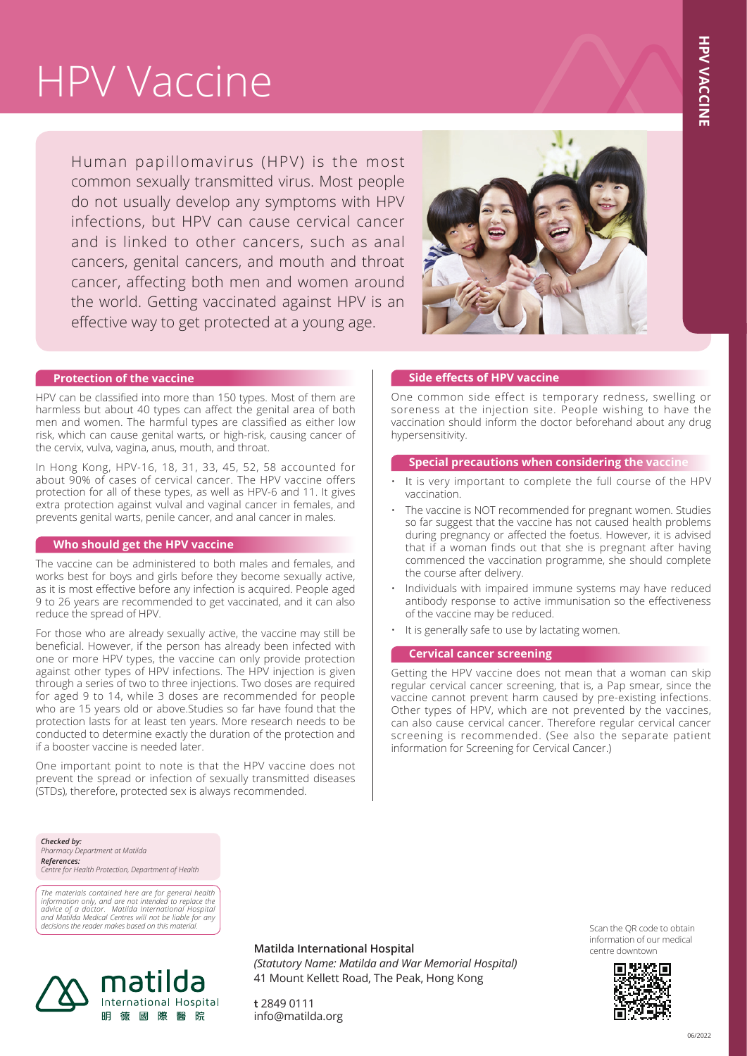# HPV Vaccine

Human papillomavirus (HPV) is the most common sexually transmitted virus. Most people do not usually develop any symptoms with HPV infections, but HPV can cause cervical cancer and is linked to other cancers, such as anal cancers, genital cancers, and mouth and throat cancer, affecting both men and women around the world. Getting vaccinated against HPV is an effective way to get protected at a young age.



## **Protection of the vaccine**

HPV can be classified into more than 150 types. Most of them are harmless but about 40 types can affect the genital area of both men and women. The harmful types are classified as either low risk, which can cause genital warts, or high-risk, causing cancer of the cervix, vulva, vagina, anus, mouth, and throat.

In Hong Kong, HPV-16, 18, 31, 33, 45, 52, 58 accounted for about 90% of cases of cervical cancer. The HPV vaccine offers protection for all of these types, as well as HPV-6 and 11. It gives extra protection against vulval and vaginal cancer in females, and prevents genital warts, penile cancer, and anal cancer in males.

#### **Who should get the HPV vaccine**

The vaccine can be administered to both males and females, and works best for boys and girls before they become sexually active, as it is most effective before any infection is acquired. People aged 9 to 26 years are recommended to get vaccinated, and it can also reduce the spread of HPV.

For those who are already sexually active, the vaccine may still be beneficial. However, if the person has already been infected with one or more HPV types, the vaccine can only provide protection against other types of HPV infections. The HPV injection is given through a series of two to three injections. Two doses are required for aged 9 to 14, while 3 doses are recommended for people who are 15 years old or above.Studies so far have found that the protection lasts for at least ten years. More research needs to be conducted to determine exactly the duration of the protection and if a booster vaccine is needed later.

One important point to note is that the HPV vaccine does not prevent the spread or infection of sexually transmitted diseases (STDs), therefore, protected sex is always recommended.

#### **Side effects of HPV vaccine**

One common side effect is temporary redness, swelling or soreness at the injection site. People wishing to have the vaccination should inform the doctor beforehand about any drug hypersensitivity.

#### **Special precautions when considering the vaccine**

- It is very important to complete the full course of the HPV vaccination.
- The vaccine is NOT recommended for pregnant women. Studies so far suggest that the vaccine has not caused health problems during pregnancy or affected the foetus. However, it is advised that if a woman finds out that she is pregnant after having commenced the vaccination programme, she should complete the course after delivery.
- Individuals with impaired immune systems may have reduced antibody response to active immunisation so the effectiveness of the vaccine may be reduced.
- It is generally safe to use by lactating women.

#### **Cervical cancer screening**

Getting the HPV vaccine does not mean that a woman can skip regular cervical cancer screening, that is, a Pap smear, since the vaccine cannot prevent harm caused by pre-existing infections. Other types of HPV, which are not prevented by the vaccines, can also cause cervical cancer. Therefore regular cervical cancer screening is recommended. (See also the separate patient information for Screening for Cervical Cancer.) **HPV**<br> **CONCOMPLANCE**<br> **CONCOMPLANCE**<br> **CONCOMPLANCE**<br> **CONCOMPLANCE**<br> **CONCOMPLANCE**<br> **CONCOMPLANCE**<br> **CONCOMPLANCE**<br> **CONCOMPLANCE**<br> **CONCOMPLANCE**<br> **CONCOMPLANCE**<br> **CONCOMPLANCE**<br> **CONCOMPLANCE** 

*Checked by: Pharmacy Department at Matilda References: Centre for Health Protection, Department of Health*

The materials contained here are for general health<br>information only, and are not intended to replace the<br>advice of a doctor. Matilda International Hospital<br>and Matilda Medical Centres will not be liable for any<br>decisions



**Matilda International Hospital**

*(Statutory Name: Matilda and War Memorial Hospital)* 41 Mount Kellett Road, The Peak, Hong Kong

Scan the QR code to obtain information of our medical centre downtown



**t** 2849 0111 info@matilda.org